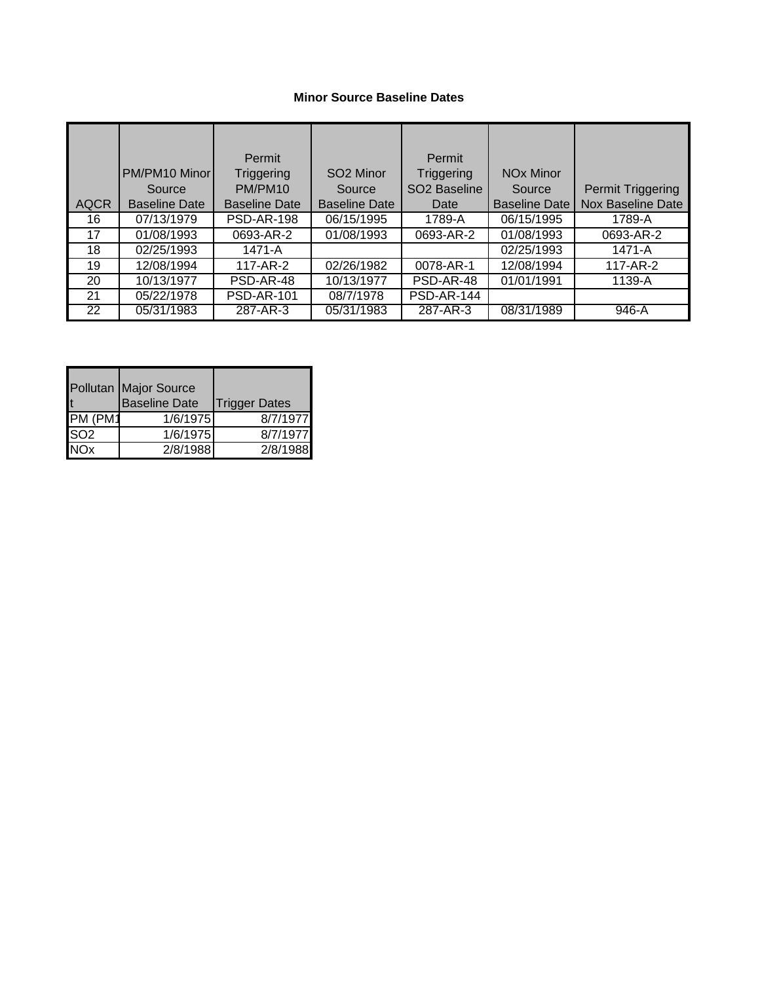## **Minor Source Baseline Dates**

|                 |                      | Permit               |                         | <b>Permit</b>            |                             |                          |
|-----------------|----------------------|----------------------|-------------------------|--------------------------|-----------------------------|--------------------------|
|                 | PM/PM10 Minor        | Triggering           | SO <sub>2</sub> Minor   | Triggering               | <b>NO<sub>x</sub></b> Minor |                          |
|                 | Source               | PM/PM10              | Source                  | SO <sub>2</sub> Baseline | Source                      | Permit Triggering        |
| <b>AQCR</b>     | <b>Baseline Date</b> | <b>Baseline Date</b> | <b>Baseline Date</b>    | Date                     | <b>Baseline Date</b>        | <b>Nox Baseline Date</b> |
| 16              | 07/13/1979           | <b>PSD-AR-198</b>    | 06/15/1995              | 1789-A                   | 06/15/1995                  | 1789-A                   |
| 17              | 01/08/1993           | 0693-AR-2            | 01/08/1993              | 0693-AR-2                | 01/08/1993                  | 0693-AR-2                |
| 18              | 02/25/1993           | 1471-A               |                         |                          | 02/25/1993                  | 1471-A                   |
| 19              | 12/08/1994           | 117-AR-2             | $\overline{02}/26/1982$ | 0078-AR-1                | 12/08/1994                  | 117-AR-2                 |
| 20              | 10/13/1977           | PSD-AR-48            | 10/13/1977              | PSD-AR-48                | 01/01/1991                  | 1139-A                   |
| 21              | 05/22/1978           | <b>PSD-AR-101</b>    | 08/7/1978               | <b>PSD-AR-144</b>        |                             |                          |
| $\overline{22}$ | 05/31/1983           | 287-AR-3             | 05/31/1983              | 287-AR-3                 | 08/31/1989                  | $946-A$                  |

|                 | Pollutan Major Source<br><b>Baseline Date</b> | <b>Trigger Dates</b> |
|-----------------|-----------------------------------------------|----------------------|
| PM (PM1         | 1/6/1975                                      | 8/7/1977             |
| SO <sub>2</sub> | 1/6/1975                                      | 8/7/1977             |
| NO <sub>x</sub> | 2/8/1988                                      | 2/8/1988             |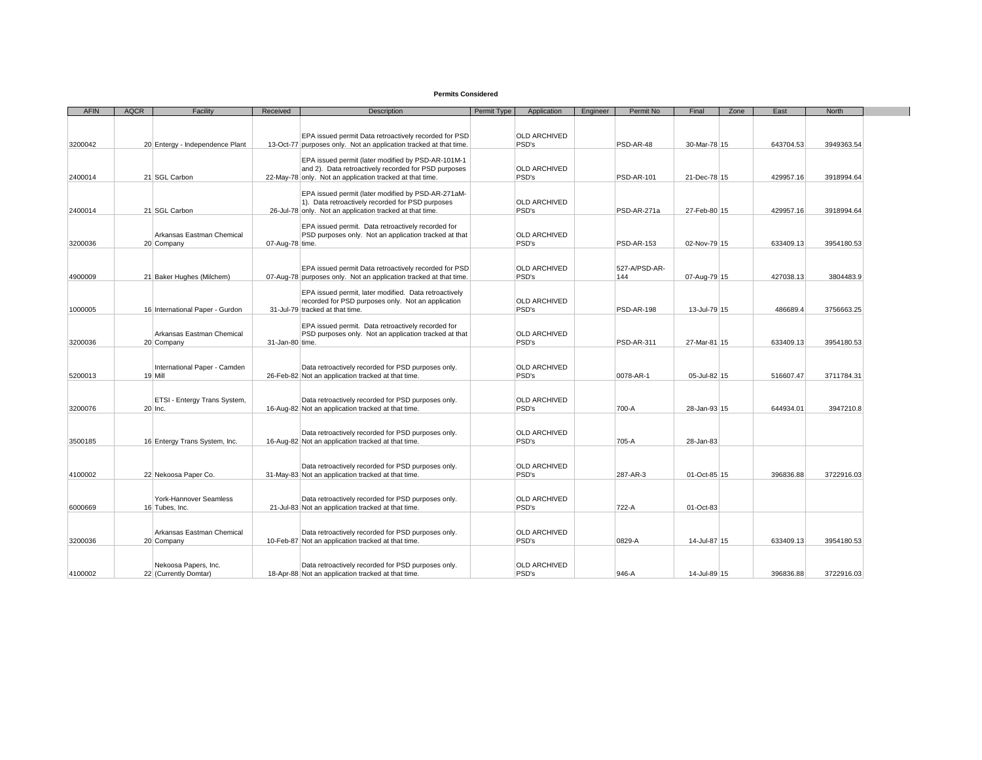## **Permits Considered**

| <b>AFIN</b> | <b>AQCR</b> | Facility                                  | Received        | <b>Description</b>                                                                                          | Permit Type | Application                  | Engineer | Permit No         | Final        | Zone | East      | <b>North</b> |
|-------------|-------------|-------------------------------------------|-----------------|-------------------------------------------------------------------------------------------------------------|-------------|------------------------------|----------|-------------------|--------------|------|-----------|--------------|
|             |             |                                           |                 |                                                                                                             |             |                              |          |                   |              |      |           |              |
|             |             |                                           |                 | EPA issued permit Data retroactively recorded for PSD                                                       |             | <b>OLD ARCHIVED</b>          |          |                   |              |      |           |              |
| 3200042     |             | 20 Entergy - Independence Plant           |                 | 13-Oct-77 purposes only. Not an application tracked at that time.                                           |             | PSD's                        |          | PSD-AR-48         | 30-Mar-78 15 |      | 643704.53 | 3949363.54   |
|             |             |                                           |                 | EPA issued permit (later modified by PSD-AR-101M-1                                                          |             |                              |          |                   |              |      |           |              |
|             |             |                                           |                 | and 2). Data retroactively recorded for PSD purposes                                                        |             | <b>OLD ARCHIVED</b>          |          |                   |              |      |           |              |
| 2400014     |             | 21 SGL Carbon                             |                 | 22-May-78 only. Not an application tracked at that time.                                                    |             | PSD's                        |          | <b>PSD-AR-101</b> | 21-Dec-78 15 |      | 429957.16 | 3918994.64   |
|             |             |                                           |                 |                                                                                                             |             |                              |          |                   |              |      |           |              |
|             |             |                                           |                 | EPA issued permit (later modified by PSD-AR-271aM-<br>1). Data retroactively recorded for PSD purposes      |             | <b>OLD ARCHIVED</b>          |          |                   |              |      |           |              |
| 2400014     |             | 21 SGL Carbon                             |                 | 26-Jul-78 only. Not an application tracked at that time.                                                    |             | PSD's                        |          | PSD-AR-271a       | 27-Feb-80 15 |      | 429957.16 | 3918994.64   |
|             |             |                                           |                 |                                                                                                             |             |                              |          |                   |              |      |           |              |
|             |             | Arkansas Eastman Chemical                 |                 | EPA issued permit. Data retroactively recorded for<br>PSD purposes only. Not an application tracked at that |             | <b>OLD ARCHIVED</b>          |          |                   |              |      |           |              |
| 3200036     |             | 20 Company                                | 07-Aug-78 time. |                                                                                                             |             | PSD's                        |          | <b>PSD-AR-153</b> | 02-Nov-79 15 |      | 633409.13 | 3954180.53   |
|             |             |                                           |                 |                                                                                                             |             |                              |          |                   |              |      |           |              |
|             |             |                                           |                 | EPA issued permit Data retroactively recorded for PSD                                                       |             | <b>OLD ARCHIVED</b>          |          | 527-A/PSD-AR-     |              |      |           |              |
| 4900009     |             | 21 Baker Hughes (Milchem)                 |                 | 07-Aug-78 purposes only. Not an application tracked at that time.                                           |             | PSD's                        |          | 144               | 07-Aug-79 15 |      | 427038.13 | 3804483.9    |
|             |             |                                           |                 |                                                                                                             |             |                              |          |                   |              |      |           |              |
|             |             |                                           |                 | EPA issued permit, later modified. Data retroactively                                                       |             | <b>OLD ARCHIVED</b>          |          |                   |              |      |           |              |
| 1000005     |             | 16 International Paper - Gurdon           |                 | recorded for PSD purposes only. Not an application<br>31-Jul-79 tracked at that time.                       |             | PSD's                        |          | <b>PSD-AR-198</b> | 13-Jul-79 15 |      | 486689.4  | 3756663.25   |
|             |             |                                           |                 |                                                                                                             |             |                              |          |                   |              |      |           |              |
|             |             |                                           |                 | EPA issued permit. Data retroactively recorded for                                                          |             |                              |          |                   |              |      |           |              |
| 3200036     |             | Arkansas Eastman Chemical<br>20 Company   | 31-Jan-80 time. | PSD purposes only. Not an application tracked at that                                                       |             | <b>OLD ARCHIVED</b><br>PSD's |          | <b>PSD-AR-311</b> | 27-Mar-81 15 |      | 633409.13 | 3954180.53   |
|             |             |                                           |                 |                                                                                                             |             |                              |          |                   |              |      |           |              |
|             |             |                                           |                 |                                                                                                             |             |                              |          |                   |              |      |           |              |
| 5200013     |             | International Paper - Camden<br>19 Mill   |                 | Data retroactively recorded for PSD purposes only.<br>26-Feb-82 Not an application tracked at that time.    |             | <b>OLD ARCHIVED</b><br>PSD's |          | 0078-AR-1         | 05-Jul-82 15 |      | 516607.47 | 3711784.31   |
|             |             |                                           |                 |                                                                                                             |             |                              |          |                   |              |      |           |              |
|             |             |                                           |                 |                                                                                                             |             |                              |          |                   |              |      |           |              |
| 3200076     |             | ETSI - Entergy Trans System,<br>$20$ Inc. |                 | Data retroactively recorded for PSD purposes only.<br>16-Aug-82 Not an application tracked at that time.    |             | <b>OLD ARCHIVED</b><br>PSD's |          | 700-A             | 28-Jan-93 15 |      | 644934.01 | 3947210.8    |
|             |             |                                           |                 |                                                                                                             |             |                              |          |                   |              |      |           |              |
|             |             |                                           |                 |                                                                                                             |             |                              |          |                   |              |      |           |              |
| 3500185     |             | 16 Entergy Trans System, Inc.             |                 | Data retroactively recorded for PSD purposes only.<br>16-Aug-82 Not an application tracked at that time.    |             | <b>OLD ARCHIVED</b><br>PSD's |          | 705-A             | 28-Jan-83    |      |           |              |
|             |             |                                           |                 |                                                                                                             |             |                              |          |                   |              |      |           |              |
|             |             |                                           |                 |                                                                                                             |             |                              |          |                   |              |      |           |              |
| 4100002     |             | 22 Nekoosa Paper Co.                      |                 | Data retroactively recorded for PSD purposes only.<br>31-May-83 Not an application tracked at that time.    |             | <b>OLD ARCHIVED</b><br>PSD's |          | 287-AR-3          | 01-Oct-85 15 |      | 396836.88 | 3722916.03   |
|             |             |                                           |                 |                                                                                                             |             |                              |          |                   |              |      |           |              |
|             |             |                                           |                 |                                                                                                             |             |                              |          |                   |              |      |           |              |
|             |             | York-Hannover Seamless                    |                 | Data retroactively recorded for PSD purposes only.                                                          |             | <b>OLD ARCHIVED</b>          |          |                   |              |      |           |              |
| 6000669     |             | 16 Tubes, Inc.                            |                 | 21-Jul-83 Not an application tracked at that time.                                                          |             | PSD's                        |          | 722-A             | 01-Oct-83    |      |           |              |
|             |             |                                           |                 |                                                                                                             |             |                              |          |                   |              |      |           |              |
|             |             | Arkansas Eastman Chemical                 |                 | Data retroactively recorded for PSD purposes only.                                                          |             | <b>OLD ARCHIVED</b>          |          |                   |              |      |           |              |
| 3200036     |             | 20 Company                                |                 | 10-Feb-87 Not an application tracked at that time.                                                          |             | PSD's                        |          | 0829-A            | 14-Jul-87 15 |      | 633409.13 | 3954180.53   |
|             |             |                                           |                 |                                                                                                             |             |                              |          |                   |              |      |           |              |
|             |             | Nekoosa Papers, Inc.                      |                 | Data retroactively recorded for PSD purposes only.                                                          |             | <b>OLD ARCHIVED</b>          |          |                   |              |      |           |              |
| 4100002     |             | 22 (Currently Domtar)                     |                 | 18-Apr-88 Not an application tracked at that time.                                                          |             | PSD's                        |          | 946-A             | 14-Jul-89 15 |      | 396836.88 | 3722916.03   |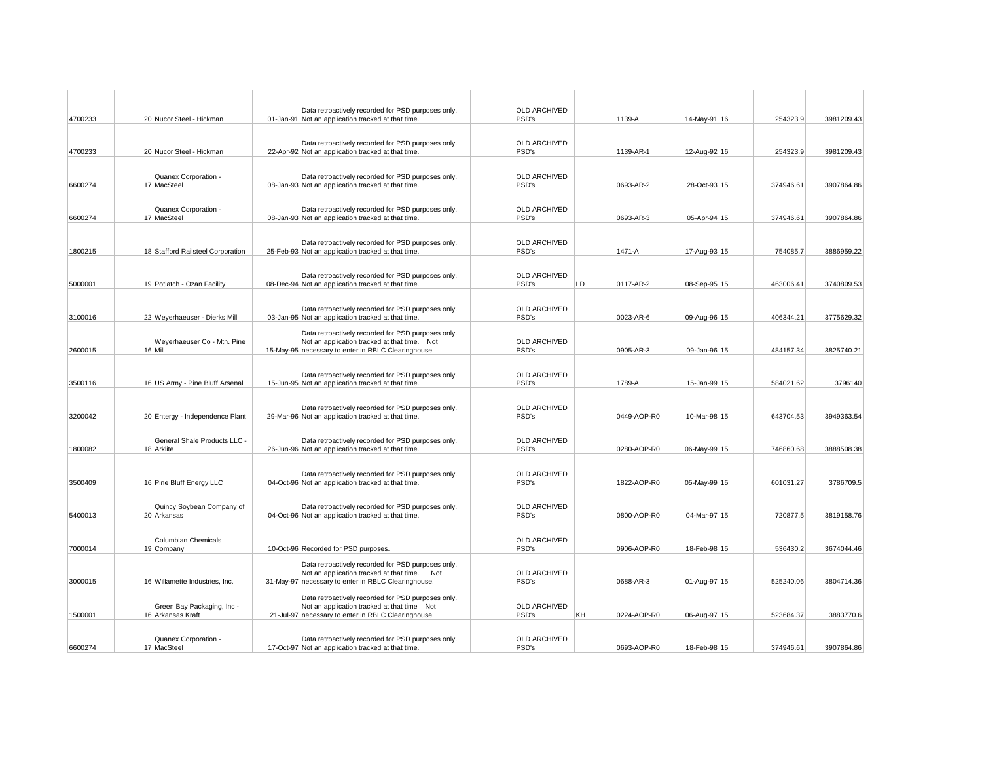| 4700233 | 20 Nucor Steel - Hickman                        | Data retroactively recorded for PSD purposes only.<br>01-Jan-91 Not an application tracked at that time. | <b>OLD ARCHIVED</b><br>PSD's |    | 1139-A      | 14-May-91 16 | 254323.9  | 3981209.43 |
|---------|-------------------------------------------------|----------------------------------------------------------------------------------------------------------|------------------------------|----|-------------|--------------|-----------|------------|
|         |                                                 |                                                                                                          |                              |    |             |              |           |            |
|         |                                                 | Data retroactively recorded for PSD purposes only.                                                       | <b>OLD ARCHIVED</b>          |    |             |              |           |            |
| 4700233 | 20 Nucor Steel - Hickman                        | 22-Apr-92 Not an application tracked at that time.                                                       | PSD's                        |    | 1139-AR-1   | 12-Aug-92 16 | 254323.9  | 3981209.43 |
|         |                                                 |                                                                                                          |                              |    |             |              |           |            |
|         | Quanex Corporation -                            | Data retroactively recorded for PSD purposes only.                                                       | <b>OLD ARCHIVED</b>          |    |             |              |           |            |
| 6600274 | 17 MacSteel                                     | 08-Jan-93 Not an application tracked at that time.                                                       | PSD's                        |    | 0693-AR-2   | 28-Oct-93 15 | 374946.61 | 3907864.86 |
|         |                                                 |                                                                                                          |                              |    |             |              |           |            |
|         | Quanex Corporation -                            | Data retroactively recorded for PSD purposes only.                                                       | OLD ARCHIVED                 |    |             |              |           |            |
| 6600274 | 17 MacSteel                                     | 08-Jan-93 Not an application tracked at that time.                                                       | PSD's                        |    | 0693-AR-3   | 05-Apr-94 15 | 374946.61 | 3907864.86 |
|         |                                                 |                                                                                                          |                              |    |             |              |           |            |
|         |                                                 | Data retroactively recorded for PSD purposes only.                                                       | <b>OLD ARCHIVED</b>          |    |             |              |           |            |
| 1800215 | 18 Stafford Railsteel Corporation               | 25-Feb-93 Not an application tracked at that time.                                                       | PSD's                        |    | 1471-A      | 17-Aug-93 15 | 754085.7  | 3886959.22 |
|         |                                                 |                                                                                                          |                              |    |             |              |           |            |
|         |                                                 | Data retroactively recorded for PSD purposes only.                                                       | OLD ARCHIVED                 |    |             |              |           |            |
| 5000001 | 19 Potlatch - Ozan Facility                     | 08-Dec-94 Not an application tracked at that time.                                                       | PSD's                        | LD | 0117-AR-2   | 08-Sep-95 15 | 463006.41 | 3740809.53 |
|         |                                                 |                                                                                                          |                              |    |             |              |           |            |
|         |                                                 | Data retroactively recorded for PSD purposes only.                                                       | <b>OLD ARCHIVED</b><br>PSD's |    |             | 09-Aug-96 15 |           | 3775629.32 |
| 3100016 | 22 Weyerhaeuser - Dierks Mill                   | 03-Jan-95 Not an application tracked at that time.                                                       |                              |    | 0023-AR-6   |              | 406344.21 |            |
|         |                                                 | Data retroactively recorded for PSD purposes only.                                                       |                              |    |             |              |           |            |
| 2600015 | Weyerhaeuser Co - Mtn. Pine<br>16 Mill          | Not an application tracked at that time. Not<br>15-May-95 necessary to enter in RBLC Clearinghouse.      | <b>OLD ARCHIVED</b><br>PSD's |    | 0905-AR-3   | 09-Jan-96 15 | 484157.34 | 3825740.21 |
|         |                                                 |                                                                                                          |                              |    |             |              |           |            |
|         |                                                 |                                                                                                          |                              |    |             |              |           |            |
| 3500116 | 16 US Army - Pine Bluff Arsenal                 | Data retroactively recorded for PSD purposes only.<br>15-Jun-95 Not an application tracked at that time. | <b>OLD ARCHIVED</b><br>PSD's |    | 1789-A      | 15-Jan-99 15 | 584021.62 | 3796140    |
|         |                                                 |                                                                                                          |                              |    |             |              |           |            |
|         |                                                 | Data retroactively recorded for PSD purposes only.                                                       | <b>OLD ARCHIVED</b>          |    |             |              |           |            |
| 3200042 | 20 Entergy - Independence Plant                 | 29-Mar-96 Not an application tracked at that time.                                                       | PSD's                        |    | 0449-AOP-R0 | 10-Mar-98 15 | 643704.53 | 3949363.54 |
|         |                                                 |                                                                                                          |                              |    |             |              |           |            |
|         | General Shale Products LLC -                    | Data retroactively recorded for PSD purposes only.                                                       | <b>OLD ARCHIVED</b>          |    |             |              |           |            |
| 1800082 | 18 Arklite                                      | 26-Jun-96 Not an application tracked at that time.                                                       | PSD's                        |    | 0280-AOP-R0 | 06-May-99 15 | 746860.68 | 3888508.38 |
|         |                                                 |                                                                                                          |                              |    |             |              |           |            |
|         |                                                 | Data retroactively recorded for PSD purposes only.                                                       | <b>OLD ARCHIVED</b>          |    |             |              |           |            |
| 3500409 | 16 Pine Bluff Energy LLC                        | 04-Oct-96 Not an application tracked at that time.                                                       | PSD's                        |    | 1822-AOP-R0 | 05-May-99 15 | 601031.27 | 3786709.5  |
|         |                                                 |                                                                                                          |                              |    |             |              |           |            |
|         | Quincy Soybean Company of                       | Data retroactively recorded for PSD purposes only.                                                       | <b>OLD ARCHIVED</b>          |    |             |              |           |            |
| 5400013 | 20 Arkansas                                     | 04-Oct-96 Not an application tracked at that time.                                                       | PSD's                        |    | 0800-AOP-R0 | 04-Mar-97 15 | 720877.5  | 3819158.76 |
|         |                                                 |                                                                                                          |                              |    |             |              |           |            |
|         | Columbian Chemicals                             |                                                                                                          | <b>OLD ARCHIVED</b>          |    |             |              |           |            |
| 7000014 | 19 Company                                      | 10-Oct-96 Recorded for PSD purposes.                                                                     | PSD's                        |    | 0906-AOP-R0 | 18-Feb-98 15 | 536430.2  | 3674044.46 |
|         |                                                 | Data retroactively recorded for PSD purposes only.                                                       |                              |    |             |              |           |            |
| 3000015 | 16 Willamette Industries, Inc.                  | Not an application tracked at that time. Not<br>31-May-97 necessary to enter in RBLC Clearinghouse.      | <b>OLD ARCHIVED</b><br>PSD's |    | 0688-AR-3   | 01-Aug-97 15 | 525240.06 | 3804714.36 |
|         |                                                 |                                                                                                          |                              |    |             |              |           |            |
|         |                                                 | Data retroactively recorded for PSD purposes only.                                                       | <b>OLD ARCHIVED</b>          |    |             |              |           |            |
| 1500001 | Green Bay Packaging, Inc -<br>16 Arkansas Kraft | Not an application tracked at that time Not<br>21-Jul-97 necessary to enter in RBLC Clearinghouse.       | PSD's                        | KH | 0224-AOP-R0 | 06-Aug-97 15 | 523684.37 | 3883770.6  |
|         |                                                 |                                                                                                          |                              |    |             |              |           |            |
|         | Quanex Corporation -                            | Data retroactively recorded for PSD purposes only.                                                       | <b>OLD ARCHIVED</b>          |    |             |              |           |            |
| 6600274 | 17 MacSteel                                     | 17-Oct-97 Not an application tracked at that time.                                                       | PSD's                        |    | 0693-AOP-R0 | 18-Feb-98 15 | 374946.61 | 3907864.86 |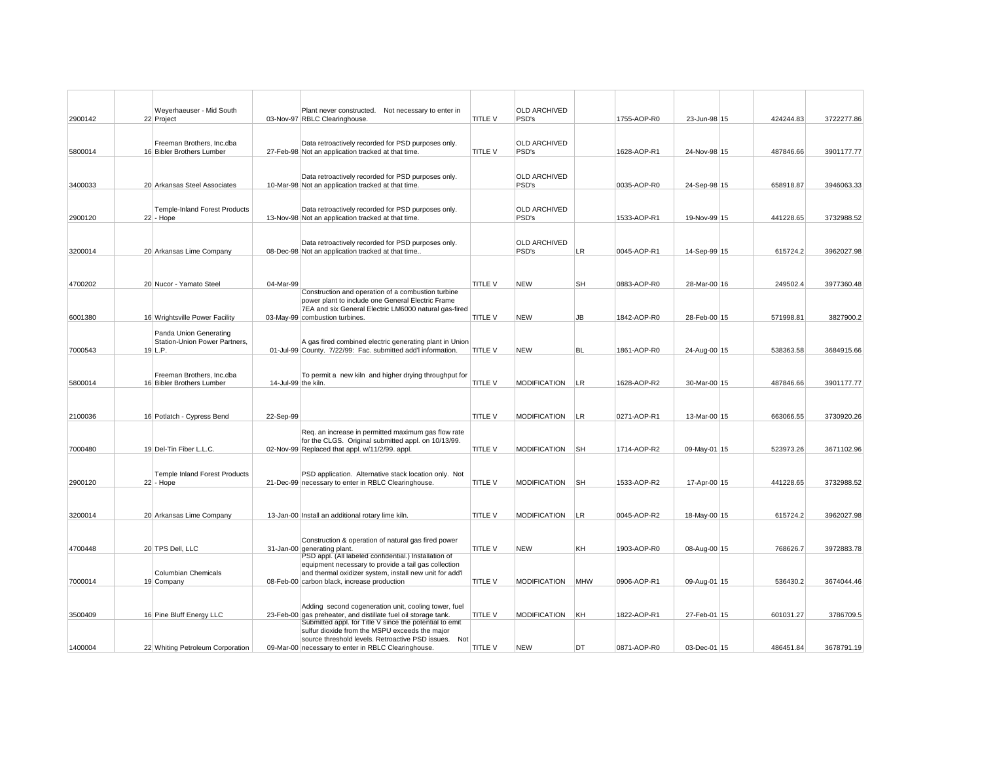|         | Weyerhaeuser - Mid South                                |                     | Plant never constructed. Not necessary to enter in                                                                        |                | <b>OLD ARCHIVED</b>          |           |             |              |           |            |
|---------|---------------------------------------------------------|---------------------|---------------------------------------------------------------------------------------------------------------------------|----------------|------------------------------|-----------|-------------|--------------|-----------|------------|
| 2900142 | 22 Project                                              |                     | 03-Nov-97 RBLC Clearinghouse.                                                                                             | TITLE V        | PSD's                        |           | 1755-AOP-R0 | 23-Jun-98 15 | 424244.83 | 3722277.86 |
|         |                                                         |                     |                                                                                                                           |                |                              |           |             |              |           |            |
| 5800014 | Freeman Brothers, Inc.dba<br>16 Bibler Brothers Lumber  |                     | Data retroactively recorded for PSD purposes only.<br>27-Feb-98 Not an application tracked at that time.                  | TITLE V        | <b>OLD ARCHIVED</b><br>PSD's |           | 1628-AOP-R1 | 24-Nov-98 15 | 487846.66 | 3901177.77 |
|         |                                                         |                     |                                                                                                                           |                |                              |           |             |              |           |            |
|         |                                                         |                     | Data retroactively recorded for PSD purposes only.                                                                        |                | <b>OLD ARCHIVED</b>          |           |             |              |           |            |
| 3400033 | 20 Arkansas Steel Associates                            |                     | 10-Mar-98 Not an application tracked at that time.                                                                        |                | PSD's                        |           | 0035-AOP-R0 | 24-Sep-98 15 | 658918.87 | 3946063.33 |
|         |                                                         |                     |                                                                                                                           |                | <b>OLD ARCHIVED</b>          |           |             |              |           |            |
| 2900120 | <b>Temple-Inland Forest Products</b><br>$22$ - Hope     |                     | Data retroactively recorded for PSD purposes only.<br>13-Nov-98 Not an application tracked at that time.                  |                | PSD's                        |           | 1533-AOP-R1 | 19-Nov-99 15 | 441228.65 | 3732988.52 |
|         |                                                         |                     |                                                                                                                           |                |                              |           |             |              |           |            |
|         |                                                         |                     | Data retroactively recorded for PSD purposes only.                                                                        |                | <b>OLD ARCHIVED</b>          |           |             |              |           |            |
| 3200014 | 20 Arkansas Lime Company                                |                     | 08-Dec-98 Not an application tracked at that time.                                                                        |                | PSD's                        | LR        | 0045-AOP-R1 | 14-Sep-99 15 | 615724.2  | 3962027.98 |
|         |                                                         |                     |                                                                                                                           |                |                              |           |             |              |           |            |
| 4700202 | 20 Nucor - Yamato Steel                                 | 04-Mar-99           |                                                                                                                           | TITLE V        | <b>NEW</b>                   | SH        | 0883-AOP-R0 | 28-Mar-00 16 | 249502.4  | 3977360.48 |
|         |                                                         |                     | Construction and operation of a combustion turbine<br>power plant to include one General Electric Frame                   |                |                              |           |             |              |           |            |
| 6001380 | 16 Wrightsville Power Facility                          |                     | 7EA and six General Electric LM6000 natural gas-fired<br>03-May-99 combustion turbines.                                   | <b>TITLE V</b> | <b>NEW</b>                   | JB        | 1842-AOP-R0 | 28-Feb-00 15 | 571998.81 | 3827900.2  |
|         |                                                         |                     |                                                                                                                           |                |                              |           |             |              |           |            |
|         | Panda Union Generating<br>Station-Union Power Partners, |                     | A gas fired combined electric generating plant in Union                                                                   |                |                              |           |             |              |           |            |
| 7000543 | $19$ L.P.                                               |                     | 01-Jul-99 County. 7/22/99: Fac. submitted add'l information.                                                              | <b>TITLE V</b> | <b>NEW</b>                   | <b>BL</b> | 1861-AOP-R0 | 24-Aug-00 15 | 538363.58 | 3684915.66 |
|         |                                                         |                     |                                                                                                                           |                |                              |           |             |              |           |            |
| 5800014 | Freeman Brothers, Inc.dba<br>16 Bibler Brothers Lumber  | 14-Jul-99 the kiln. | To permit a new kiln and higher drying throughput for                                                                     | TITLE V        | <b>MODIFICATION</b>          | LR        | 1628-AOP-R2 | 30-Mar-00 15 | 487846.66 | 3901177.77 |
|         |                                                         |                     |                                                                                                                           |                |                              |           |             |              |           |            |
|         |                                                         |                     |                                                                                                                           |                |                              |           |             |              |           |            |
| 2100036 | 16 Potlatch - Cypress Bend                              | 22-Sep-99           |                                                                                                                           | TITLE V        | <b>MODIFICATION</b>          | LR.       | 0271-AOP-R1 | 13-Mar-00 15 | 663066.55 | 3730920.26 |
|         |                                                         |                     | Req. an increase in permitted maximum gas flow rate                                                                       |                |                              |           |             |              |           |            |
| 7000480 | 19 Del-Tin Fiber L.L.C.                                 |                     | for the CLGS. Original submitted appl. on 10/13/99.<br>02-Nov-99 Replaced that appl. w/11/2/99. appl.                     | TITLE V        | <b>MODIFICATION</b>          | <b>SH</b> | 1714-AOP-R2 | 09-May-01 15 | 523973.26 | 3671102.96 |
|         |                                                         |                     |                                                                                                                           |                |                              |           |             |              |           |            |
|         | Temple Inland Forest Products                           |                     | PSD application. Alternative stack location only. Not                                                                     |                |                              |           |             |              |           |            |
| 2900120 | $22$ - Hope                                             |                     | 21-Dec-99 necessary to enter in RBLC Clearinghouse.                                                                       | TITLE V        | <b>MODIFICATION</b>          | <b>SH</b> | 1533-AOP-R2 | 17-Apr-00 15 | 441228.65 | 3732988.52 |
|         |                                                         |                     |                                                                                                                           |                |                              |           |             |              |           |            |
| 3200014 | 20 Arkansas Lime Company                                |                     | 13-Jan-00 Install an additional rotary lime kiln.                                                                         | <b>TITLE V</b> | <b>MODIFICATION</b>          | LR.       | 0045-AOP-R2 | 18-May-00 15 | 615724.2  | 3962027.98 |
|         |                                                         |                     |                                                                                                                           |                |                              |           |             |              |           |            |
|         |                                                         |                     | Construction & operation of natural gas fired power                                                                       |                |                              |           |             |              |           |            |
| 4700448 | 20 TPS Dell, LLC                                        |                     | 31-Jan-00 generating plant.<br>PSD appl. (All labeled confidential.) Installation of                                      | TITLE V        | <b>NEW</b>                   | KH        | 1903-AOP-R0 | 08-Aug-00 15 | 768626.7  | 3972883.78 |
|         | <b>Columbian Chemicals</b>                              |                     | equipment necessary to provide a tail gas collection<br>and thermal oxidizer system, install new unit for add'l           |                |                              |           |             |              |           |            |
| 7000014 | 19 Company                                              |                     | 08-Feb-00 carbon black, increase production                                                                               | TITLE V        | <b>MODIFICATION</b>          | MHW       | 0906-AOP-R1 | 09-Aug-01 15 | 536430.2  | 3674044.46 |
|         |                                                         |                     |                                                                                                                           |                |                              |           |             |              |           |            |
|         |                                                         |                     | Adding second cogeneration unit, cooling tower, fuel                                                                      |                |                              |           |             |              |           |            |
| 3500409 | 16 Pine Bluff Energy LLC                                |                     | 23-Feb-00 gas preheater, and distillate fuel oil storage tank.<br>Submitted appl. for Title V since the potential to emit | TITLE V        | <b>MODIFICATION</b>          | KH        | 1822-AOP-R1 | 27-Feb-01 15 | 601031.27 | 3786709.5  |
|         |                                                         |                     | sulfur dioxide from the MSPU exceeds the major<br>source threshold levels. Retroactive PSD issues. Not                    |                |                              |           |             |              |           |            |
| 1400004 | 22 Whiting Petroleum Corporation                        |                     | 09-Mar-00 necessary to enter in RBLC Clearinghouse.                                                                       | <b>TITLE V</b> | <b>NEW</b>                   | DT        | 0871-AOP-R0 | 03-Dec-01 15 | 486451.84 | 3678791.19 |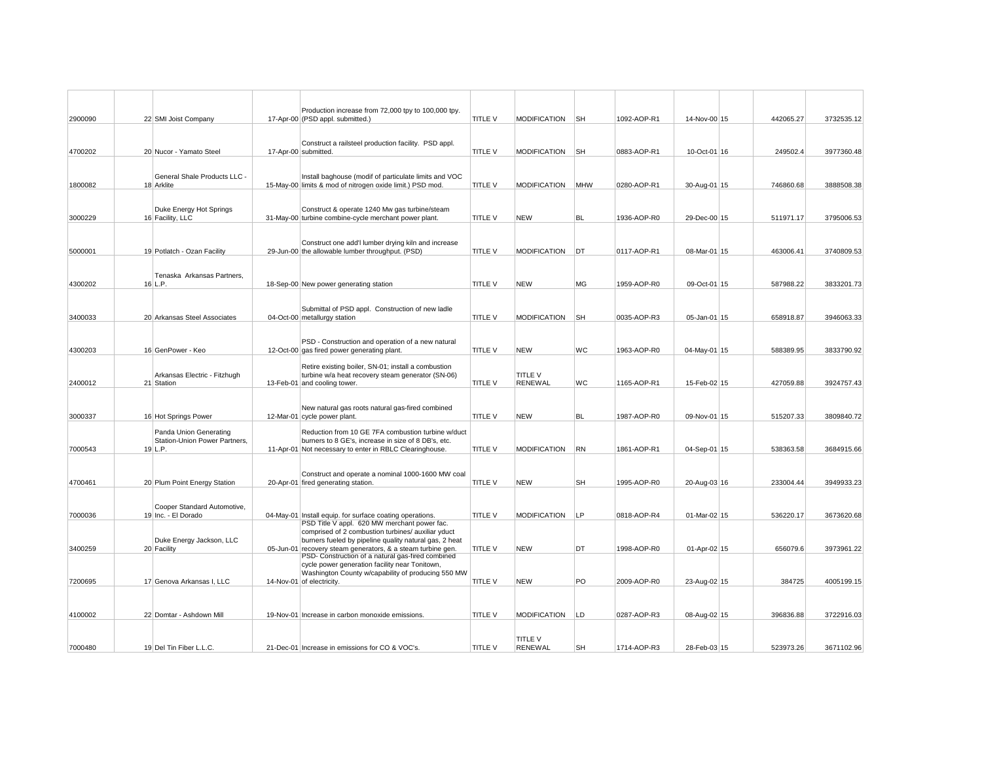|         |                                            | Production increase from 72,000 tpy to 100,000 tpy.                                                                   |                |                                  |           |             |              |           |            |
|---------|--------------------------------------------|-----------------------------------------------------------------------------------------------------------------------|----------------|----------------------------------|-----------|-------------|--------------|-----------|------------|
| 2900090 | 22 SMI Joist Company                       | 17-Apr-00 (PSD appl. submitted.)                                                                                      | TITLE V        | <b>MODIFICATION</b>              | <b>SH</b> | 1092-AOP-R1 | 14-Nov-00 15 | 442065.27 | 3732535.12 |
|         |                                            |                                                                                                                       |                |                                  |           |             |              |           |            |
| 4700202 | 20 Nucor - Yamato Steel                    | Construct a railsteel production facility. PSD appl.<br>17-Apr-00 submitted.                                          | TITLE V        | <b>MODIFICATION</b>              | <b>SH</b> | 0883-AOP-R1 | 10-Oct-01 16 | 249502.4  | 3977360.48 |
|         |                                            |                                                                                                                       |                |                                  |           |             |              |           |            |
|         | General Shale Products LLC -               | Install baghouse (modif of particulate limits and VOC                                                                 |                |                                  |           |             |              |           |            |
| 1800082 | 18 Arklite                                 | 15-May-00 limits & mod of nitrogen oxide limit.) PSD mod.                                                             | TITLE V        | <b>MODIFICATION</b>              | MHW       | 0280-AOP-R1 | 30-Aug-01 15 | 746860.68 | 3888508.38 |
|         |                                            |                                                                                                                       |                |                                  |           |             |              |           |            |
|         | Duke Energy Hot Springs                    | Construct & operate 1240 Mw gas turbine/steam                                                                         |                |                                  |           |             |              |           |            |
| 3000229 | 16 Facility, LLC                           | 31-May-00 turbine combine-cycle merchant power plant.                                                                 | <b>TITLE V</b> | <b>NEW</b>                       | BL        | 1936-AOP-R0 | 29-Dec-00 15 | 511971.17 | 3795006.53 |
|         |                                            |                                                                                                                       |                |                                  |           |             |              |           |            |
| 5000001 | 19 Potlatch - Ozan Facility                | Construct one add'I lumber drying kiln and increase<br>29-Jun-00 the allowable lumber throughput. (PSD)               | TITLE V        | MODIFICATION                     | DT        | 0117-AOP-R1 | 08-Mar-01 15 | 463006.41 | 3740809.53 |
|         |                                            |                                                                                                                       |                |                                  |           |             |              |           |            |
|         | Tenaska Arkansas Partners,                 |                                                                                                                       |                |                                  |           |             |              |           |            |
| 4300202 | $16$ L.P.                                  | 18-Sep-00 New power generating station                                                                                | <b>TITLE V</b> | <b>NEW</b>                       | MG        | 1959-AOP-R0 | 09-Oct-01 15 | 587988.22 | 3833201.73 |
|         |                                            |                                                                                                                       |                |                                  |           |             |              |           |            |
| 3400033 | 20 Arkansas Steel Associates               | Submittal of PSD appl. Construction of new ladle<br>04-Oct-00 metallurgy station                                      | <b>TITLE V</b> | <b>MODIFICATION</b>              | <b>SH</b> | 0035-AOP-R3 | 05-Jan-01 15 | 658918.87 | 3946063.33 |
|         |                                            |                                                                                                                       |                |                                  |           |             |              |           |            |
|         |                                            | PSD - Construction and operation of a new natural                                                                     |                |                                  |           |             |              |           |            |
| 4300203 | 16 GenPower - Keo                          | 12-Oct-00 gas fired power generating plant.                                                                           | TITLE V        | <b>NEW</b>                       | WC        | 1963-AOP-R0 | 04-May-01 15 | 588389.95 | 3833790.92 |
|         |                                            | Retire existing boiler, SN-01; install a combustion                                                                   |                |                                  |           |             |              |           |            |
| 2400012 | Arkansas Electric - Fitzhugh<br>21 Station | turbine w/a heat recovery steam generator (SN-06)<br>13-Feb-01 and cooling tower.                                     | TITLE V        | <b>TITLE V</b><br><b>RENEWAL</b> | WС        | 1165-AOP-R1 | 15-Feb-02 15 | 427059.88 | 3924757.43 |
|         |                                            |                                                                                                                       |                |                                  |           |             |              |           |            |
|         |                                            | New natural gas roots natural gas-fired combined                                                                      |                |                                  |           |             |              |           |            |
| 3000337 | 16 Hot Springs Power                       | 12-Mar-01 cycle power plant.                                                                                          | TITLE V        | <b>NEW</b>                       | <b>BL</b> | 1987-AOP-R0 | 09-Nov-01 15 | 515207.33 | 3809840.72 |
|         | Panda Union Generating                     | Reduction from 10 GE 7FA combustion turbine w/duct                                                                    |                |                                  |           |             |              |           |            |
|         | Station-Union Power Partners,              | burners to 8 GE's, increase in size of 8 DB's, etc.                                                                   |                |                                  |           |             |              |           |            |
| 7000543 | $19$ L.P.                                  | 11-Apr-01 Not necessary to enter in RBLC Clearinghouse.                                                               | TITLE V        | <b>MODIFICATION</b>              | RN        | 1861-AOP-R1 | 04-Sep-01 15 | 538363.58 | 3684915.66 |
|         |                                            | Construct and operate a nominal 1000-1600 MW coal                                                                     |                |                                  |           |             |              |           |            |
| 4700461 | 20 Plum Point Energy Station               | 20-Apr-01 fired generating station.                                                                                   | TITLE V        | NEW                              | <b>SH</b> | 1995-AOP-R0 | 20-Aug-03 16 | 233004.44 | 3949933.23 |
|         |                                            |                                                                                                                       |                |                                  |           |             |              |           |            |
|         | Cooper Standard Automotive,                |                                                                                                                       |                |                                  |           |             |              |           |            |
| 7000036 | 19 Inc. - El Dorado                        | 04-May-01 Install equip. for surface coating operations.<br>PSD Title V appl. 620 MW merchant power fac.              | <b>TITLE V</b> | <b>MODIFICATION</b>              | LP        | 0818-AOP-R4 | 01-Mar-02 15 | 536220.17 | 3673620.68 |
|         |                                            | comprised of 2 combustion turbines/ auxiliar yduct                                                                    |                |                                  |           |             |              |           |            |
| 3400259 | Duke Energy Jackson, LLC<br>20 Facility    | burners fueled by pipeline quality natural gas, 2 heat<br>05-Jun-01 recovery steam generators, & a steam turbine gen. | TITLE V        | <b>NEW</b>                       | DT        | 1998-AOP-R0 | 01-Apr-02 15 | 656079.6  | 3973961.22 |
|         |                                            | PSD- Construction of a natural gas-fired combined                                                                     |                |                                  |           |             |              |           |            |
|         |                                            | cycle power generation facility near Tonitown,<br>Washington County w/capability of producing 550 MW                  |                |                                  |           |             |              |           |            |
| 7200695 | 17 Genova Arkansas I, LLC                  | 14-Nov-01 of electricity.                                                                                             | TITLE V        | <b>NEW</b>                       | PO        | 2009-AOP-R0 | 23-Aug-02 15 | 384725    | 4005199.15 |
|         |                                            |                                                                                                                       |                |                                  |           |             |              |           |            |
|         |                                            |                                                                                                                       |                | <b>MODIFICATION</b>              | LD        | 0287-AOP-R3 |              | 396836.88 |            |
| 4100002 | 22 Domtar - Ashdown Mill                   | 19-Nov-01 Increase in carbon monoxide emissions.                                                                      | <b>TITLE V</b> |                                  |           |             | 08-Aug-02 15 |           | 3722916.03 |
|         |                                            |                                                                                                                       |                | <b>TITLE V</b>                   |           |             |              |           |            |
| 7000480 | 19 Del Tin Fiber L.L.C.                    | 21-Dec-01 Increase in emissions for CO & VOC's.                                                                       | <b>TITLE V</b> | <b>RENEWAL</b>                   | <b>SH</b> | 1714-AOP-R3 | 28-Feb-03 15 | 523973.26 | 3671102.96 |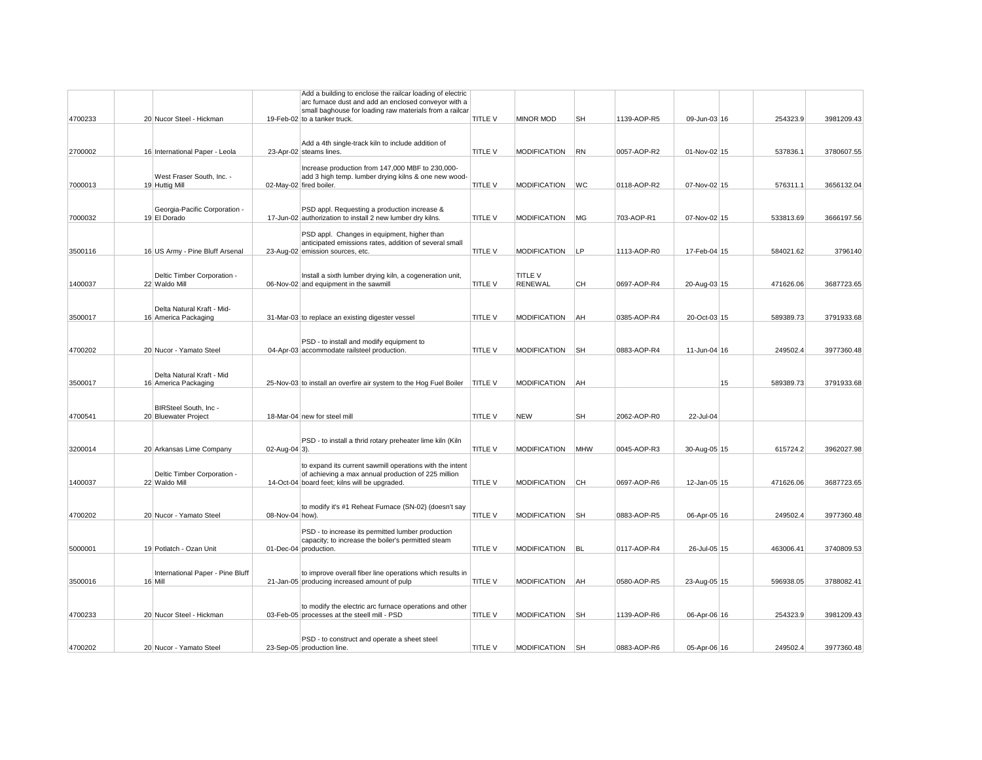|         |                                             |                 | Add a building to enclose the railcar loading of electric                    |                |                     |            |             |              |    |           |            |
|---------|---------------------------------------------|-----------------|------------------------------------------------------------------------------|----------------|---------------------|------------|-------------|--------------|----|-----------|------------|
|         |                                             |                 | arc furnace dust and add an enclosed conveyor with a                         |                |                     |            |             |              |    |           |            |
|         |                                             |                 | small baghouse for loading raw materials from a railcar                      |                |                     |            |             |              |    |           |            |
| 4700233 | 20 Nucor Steel - Hickman                    |                 | 19-Feb-02 to a tanker truck.                                                 | TITLE V        | <b>MINOR MOD</b>    | <b>SH</b>  | 1139-AOP-R5 | 09-Jun-03 16 |    | 254323.9  | 3981209.43 |
|         |                                             |                 |                                                                              |                |                     |            |             |              |    |           |            |
|         |                                             |                 | Add a 4th single-track kiln to include addition of                           |                |                     |            |             |              |    |           |            |
| 2700002 | 16 International Paper - Leola              |                 | 23-Apr-02 steams lines.                                                      | TITLE V        | <b>MODIFICATION</b> | RN         | 0057-AOP-R2 | 01-Nov-02 15 |    | 537836.1  | 3780607.55 |
|         |                                             |                 |                                                                              |                |                     |            |             |              |    |           |            |
|         |                                             |                 | Increase production from 147,000 MBF to 230,000-                             |                |                     |            |             |              |    |           |            |
|         | West Fraser South, Inc. -                   |                 | add 3 high temp. lumber drying kilns & one new wood-                         |                |                     |            |             |              |    |           |            |
| 7000013 | 19 Huttig Mill                              |                 | 02-May-02 fired boiler.                                                      | TITLE V        | <b>MODIFICATION</b> | WC         | 0118-AOP-R2 | 07-Nov-02 15 |    | 576311.1  | 3656132.04 |
|         |                                             |                 |                                                                              |                |                     |            |             |              |    |           |            |
|         | Georgia-Pacific Corporation -               |                 | PSD appl. Requesting a production increase &                                 |                |                     |            |             |              |    |           |            |
| 7000032 | 19 El Dorado                                |                 | 17-Jun-02 authorization to install 2 new lumber dry kilns.                   | TITLE V        | <b>MODIFICATION</b> | MG         | 703-AOP-R1  | 07-Nov-02 15 |    | 533813.69 | 3666197.56 |
|         |                                             |                 |                                                                              |                |                     |            |             |              |    |           |            |
|         |                                             |                 | PSD appl. Changes in equipment, higher than                                  |                |                     |            |             |              |    |           |            |
|         |                                             |                 | anticipated emissions rates, addition of several small                       |                |                     |            |             |              |    |           |            |
| 3500116 | 16 US Army - Pine Bluff Arsenal             |                 | 23-Aug-02 emission sources, etc.                                             | TITLE V        | <b>MODIFICATION</b> | LP         | 1113-AOP-R0 | 17-Feb-04 15 |    | 584021.62 | 3796140    |
|         |                                             |                 |                                                                              |                |                     |            |             |              |    |           |            |
|         | Deltic Timber Corporation -                 |                 | Install a sixth lumber drying kiln, a cogeneration unit,                     |                | <b>TITLE V</b>      |            |             |              |    |           |            |
| 1400037 | 22 Waldo Mill                               |                 | 06-Nov-02 and equipment in the sawmill                                       | TITLE V        | <b>RENEWAL</b>      | CН         | 0697-AOP-R4 | 20-Aug-03 15 |    | 471626.06 | 3687723.65 |
|         |                                             |                 |                                                                              |                |                     |            |             |              |    |           |            |
|         |                                             |                 |                                                                              |                |                     |            |             |              |    |           |            |
|         | Delta Natural Kraft - Mid-                  |                 |                                                                              |                |                     |            |             |              |    |           |            |
| 3500017 | 16 America Packaging                        |                 | 31-Mar-03 to replace an existing digester vessel                             | TITLE V        | <b>MODIFICATION</b> | AH         | 0385-AOP-R4 | 20-Oct-03 15 |    | 589389.73 | 3791933.68 |
|         |                                             |                 |                                                                              |                |                     |            |             |              |    |           |            |
|         |                                             |                 | PSD - to install and modify equipment to                                     |                |                     |            |             |              |    |           |            |
| 4700202 | 20 Nucor - Yamato Steel                     |                 | 04-Apr-03 accommodate railsteel production.                                  | TITLE V        | <b>MODIFICATION</b> | <b>SH</b>  | 0883-AOP-R4 | 11-Jun-04 16 |    | 249502.4  | 3977360.48 |
|         |                                             |                 |                                                                              |                |                     |            |             |              |    |           |            |
|         |                                             |                 |                                                                              |                |                     |            |             |              |    |           |            |
|         | Delta Natural Kraft - Mid                   |                 |                                                                              |                |                     |            |             |              |    |           |            |
| 3500017 | 16 America Packaging                        |                 | 25-Nov-03 to install an overfire air system to the Hog Fuel Boiler   TITLE V |                | <b>MODIFICATION</b> | AH         |             |              | 15 | 589389.73 | 3791933.68 |
|         |                                             |                 |                                                                              |                |                     |            |             |              |    |           |            |
|         | BIRSteel South, Inc -                       |                 |                                                                              |                |                     |            |             |              |    |           |            |
| 4700541 | 20 Bluewater Project                        |                 | 18-Mar-04 new for steel mill                                                 | TITLE V        | <b>NEW</b>          | SH         | 2062-AOP-R0 | 22-Jul-04    |    |           |            |
|         |                                             |                 |                                                                              |                |                     |            |             |              |    |           |            |
|         |                                             |                 |                                                                              |                |                     |            |             |              |    |           |            |
|         |                                             |                 | PSD - to install a thrid rotary preheater lime kiln (Kiln                    |                |                     |            |             |              |    |           |            |
| 3200014 | 20 Arkansas Lime Company                    | 02-Aug-04 3).   |                                                                              | <b>TITLE V</b> | <b>MODIFICATION</b> | <b>MHW</b> | 0045-AOP-R3 | 30-Aug-05 15 |    | 615724.2  | 3962027.98 |
|         |                                             |                 | to expand its current sawmill operations with the intent                     |                |                     |            |             |              |    |           |            |
|         | Deltic Timber Corporation -                 |                 | of achieving a max annual production of 225 million                          |                |                     |            |             |              |    |           |            |
| 1400037 | 22 Waldo Mill                               |                 | 14-Oct-04 board feet; kilns will be upgraded.                                | TITLE V        | <b>MODIFICATION</b> | CH         | 0697-AOP-R6 | 12-Jan-05 15 |    | 471626.06 | 3687723.65 |
|         |                                             |                 |                                                                              |                |                     |            |             |              |    |           |            |
|         |                                             |                 |                                                                              |                |                     |            |             |              |    |           |            |
|         |                                             |                 | to modify it's #1 Reheat Furnace (SN-02) (doesn't say                        |                |                     |            |             |              |    |           |            |
| 4700202 | 20 Nucor - Yamato Steel                     | 08-Nov-04 how). |                                                                              | TITLE V        | <b>MODIFICATION</b> | <b>SH</b>  | 0883-AOP-R5 | 06-Apr-05 16 |    | 249502.4  | 3977360.48 |
|         |                                             |                 | PSD - to increase its permitted lumber production                            |                |                     |            |             |              |    |           |            |
|         |                                             |                 | capacity; to increase the boiler's permitted steam                           |                |                     |            |             |              |    |           |            |
| 5000001 | 19 Potlatch - Ozan Unit                     |                 | 01-Dec-04 production.                                                        | TITLE V        | MODIFICATION BL     |            | 0117-AOP-R4 | 26-Jul-05 15 |    | 463006.41 | 3740809.53 |
|         |                                             |                 |                                                                              |                |                     |            |             |              |    |           |            |
|         |                                             |                 |                                                                              |                |                     |            |             |              |    |           |            |
|         | International Paper - Pine Bluff<br>16 Mill |                 | to improve overall fiber line operations which results in                    | TITLE V        | MODIFICATION        | <b>AH</b>  |             | 23-Aug-05 15 |    |           |            |
| 3500016 |                                             |                 | 21-Jan-05 producing increased amount of pulp                                 |                |                     |            | 0580-AOP-R5 |              |    | 596938.05 | 3788082.41 |
|         |                                             |                 |                                                                              |                |                     |            |             |              |    |           |            |
|         |                                             |                 | to modify the electric arc furnace operations and other                      |                |                     |            |             |              |    |           |            |
| 4700233 | 20 Nucor Steel - Hickman                    |                 | 03-Feb-05 processes at the steell mill - PSD                                 | TITLE V        | <b>MODIFICATION</b> | <b>SH</b>  | 1139-AOP-R6 | 06-Apr-06 16 |    | 254323.9  | 3981209.43 |
|         |                                             |                 |                                                                              |                |                     |            |             |              |    |           |            |
|         |                                             |                 |                                                                              |                |                     |            |             |              |    |           |            |
| 4700202 | 20 Nucor - Yamato Steel                     |                 | PSD - to construct and operate a sheet steel                                 | TITLE V        | <b>MODIFICATION</b> | <b>SH</b>  | 0883-AOP-R6 | 05-Apr-06 16 |    | 249502.4  | 3977360.48 |
|         |                                             |                 | 23-Sep-05 production line.                                                   |                |                     |            |             |              |    |           |            |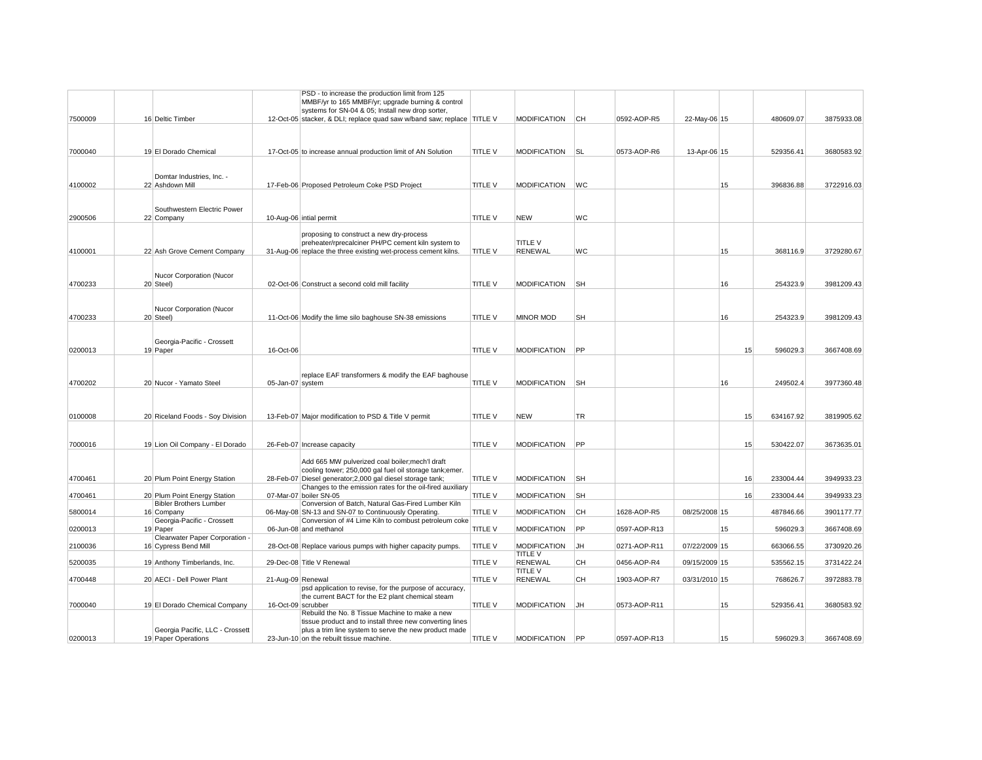|         |                                                        |                    | PSD - to increase the production limit from 125                                                   |                |                                  |           |              |               |    |                 |            |
|---------|--------------------------------------------------------|--------------------|---------------------------------------------------------------------------------------------------|----------------|----------------------------------|-----------|--------------|---------------|----|-----------------|------------|
|         |                                                        |                    | MMBF/yr to 165 MMBF/yr; upgrade burning & control                                                 |                |                                  |           |              |               |    |                 |            |
|         |                                                        |                    | systems for SN-04 & 05; Install new drop sorter,                                                  |                |                                  |           |              |               |    |                 |            |
| 7500009 | 16 Deltic Timber                                       |                    | 12-Oct-05 stacker, & DLI; replace quad saw w/band saw; replace TITLE V                            |                | <b>MODIFICATION</b>              | IСН       | 0592-AOP-R5  | 22-May-06 15  |    | 480609.07       | 3875933.08 |
|         |                                                        |                    |                                                                                                   |                |                                  |           |              |               |    |                 |            |
|         |                                                        |                    |                                                                                                   |                |                                  |           |              |               |    |                 |            |
| 7000040 | 19 El Dorado Chemical                                  |                    | 17-Oct-05 to increase annual production limit of AN Solution                                      | <b>TITLE V</b> | <b>MODIFICATION</b>              | <b>SL</b> | 0573-AOP-R6  | 13-Apr-06 15  |    | 529356.41       | 3680583.92 |
|         |                                                        |                    |                                                                                                   |                |                                  |           |              |               |    |                 |            |
|         | Domtar Industries, Inc. -                              |                    |                                                                                                   |                |                                  |           |              |               |    |                 |            |
| 4100002 | 22 Ashdown Mill                                        |                    | 17-Feb-06 Proposed Petroleum Coke PSD Project                                                     | <b>TITLE V</b> | <b>MODIFICATION</b>              | <b>WC</b> |              |               | 15 | 396836.88       | 3722916.03 |
|         |                                                        |                    |                                                                                                   |                |                                  |           |              |               |    |                 |            |
|         |                                                        |                    |                                                                                                   |                |                                  |           |              |               |    |                 |            |
|         | Southwestern Electric Power                            |                    |                                                                                                   |                |                                  |           |              |               |    |                 |            |
| 2900506 | 22 Company                                             |                    | 10-Aug-06 intial permit                                                                           | TITLE V        | <b>NEW</b>                       | <b>WC</b> |              |               |    |                 |            |
|         |                                                        |                    | proposing to construct a new dry-process                                                          |                |                                  |           |              |               |    |                 |            |
|         |                                                        |                    | preheater/rprecalciner PH/PC cement kiln system to                                                |                | <b>TITLE V</b>                   |           |              |               |    |                 |            |
| 4100001 | 22 Ash Grove Cement Company                            |                    | 31-Aug-06 replace the three existing wet-process cement kilns.                                    | TITLE V        | <b>RENEWAL</b>                   | WC        |              |               | 15 | 368116.9        | 3729280.67 |
|         |                                                        |                    |                                                                                                   |                |                                  |           |              |               |    |                 |            |
|         |                                                        |                    |                                                                                                   |                |                                  |           |              |               |    |                 |            |
| 4700233 | Nucor Corporation (Nucor<br>20 Steel)                  |                    | 02-Oct-06 Construct a second cold mill facility                                                   | <b>TITLE V</b> | <b>MODIFICATION</b>              | <b>SH</b> |              |               | 16 | 254323.9        | 3981209.43 |
|         |                                                        |                    |                                                                                                   |                |                                  |           |              |               |    |                 |            |
|         |                                                        |                    |                                                                                                   |                |                                  |           |              |               |    |                 |            |
|         | Nucor Corporation (Nucor                               |                    |                                                                                                   |                |                                  |           |              |               |    |                 |            |
| 4700233 | 20 Steel)                                              |                    | 11-Oct-06 Modify the lime silo baghouse SN-38 emissions                                           | <b>TITLE V</b> | <b>MINOR MOD</b>                 | <b>SH</b> |              |               | 16 | 254323.9        | 3981209.43 |
|         |                                                        |                    |                                                                                                   |                |                                  |           |              |               |    |                 |            |
|         |                                                        |                    |                                                                                                   |                |                                  |           |              |               |    |                 |            |
| 0200013 | Georgia-Pacific - Crossett<br>19 Paper                 | 16-Oct-06          |                                                                                                   | TITLE V        | <b>MODIFICATION</b>              | <b>PP</b> |              |               |    | 15<br>596029.3  | 3667408.69 |
|         |                                                        |                    |                                                                                                   |                |                                  |           |              |               |    |                 |            |
|         |                                                        |                    |                                                                                                   |                |                                  |           |              |               |    |                 |            |
|         |                                                        |                    | replace EAF transformers & modify the EAF baghouse                                                |                |                                  |           |              |               |    |                 |            |
| 4700202 | 20 Nucor - Yamato Steel                                | 05-Jan-07 system   |                                                                                                   | <b>TITLE V</b> | <b>MODIFICATION</b>              | <b>SH</b> |              |               | 16 | 249502.4        | 3977360.48 |
|         |                                                        |                    |                                                                                                   |                |                                  |           |              |               |    |                 |            |
|         |                                                        |                    |                                                                                                   |                |                                  |           |              |               |    |                 |            |
| 0100008 | 20 Riceland Foods - Soy Division                       |                    | 13-Feb-07 Major modification to PSD & Title V permit                                              | TITLE V        | <b>NEW</b>                       | TR        |              |               |    | 634167.92<br>15 | 3819905.62 |
|         |                                                        |                    |                                                                                                   |                |                                  |           |              |               |    |                 |            |
|         |                                                        |                    |                                                                                                   |                |                                  |           |              |               |    |                 |            |
| 7000016 | 19 Lion Oil Company - El Dorado                        |                    | 26-Feb-07 Increase capacity                                                                       | TITLE V        | <b>MODIFICATION</b>              | PP        |              |               |    | 530422.07<br>15 | 3673635.01 |
|         |                                                        |                    |                                                                                                   |                |                                  |           |              |               |    |                 |            |
|         |                                                        |                    | Add 665 MW pulverized coal boiler; mech'l draft                                                   |                |                                  |           |              |               |    |                 |            |
|         |                                                        |                    | cooling tower; 250,000 gal fuel oil storage tank;emer.                                            |                |                                  |           |              |               |    |                 |            |
| 4700461 | 20 Plum Point Energy Station                           |                    | 28-Feb-07 Diesel generator; 2,000 gal diesel storage tank;                                        | TITLE V        | <b>MODIFICATION</b>              | <b>SH</b> |              |               |    | 16<br>233004.44 | 3949933.23 |
| 4700461 | 20 Plum Point Energy Station                           |                    | Changes to the emission rates for the oil-fired auxiliary<br>07-Mar-07 boiler SN-05               | TITLE V        | <b>MODIFICATION</b>              | <b>SH</b> |              |               |    | 16<br>233004.44 | 3949933.23 |
|         | <b>Bibler Brothers Lumber</b>                          |                    | Conversion of Batch, Natural Gas-Fired Lumber Kiln                                                |                |                                  |           |              |               |    |                 |            |
| 5800014 | 16 Company                                             |                    | 06-May-08 SN-13 and SN-07 to Continuously Operating.                                              | TITLE V        | <b>MODIFICATION</b>              | <b>CH</b> | 1628-AOP-R5  | 08/25/2008 15 |    | 487846.66       | 3901177.77 |
|         | Georgia-Pacific - Crossett                             |                    | Conversion of #4 Lime Kiln to combust petroleum coke                                              |                |                                  |           |              |               |    |                 |            |
| 0200013 | 19 Paper                                               |                    | 06-Jun-08 and methanol                                                                            | <b>TITLE V</b> | <b>MODIFICATION</b>              | PP        | 0597-AOP-R13 |               | 15 | 596029.3        | 3667408.69 |
|         | Clearwater Paper Corporation -                         |                    |                                                                                                   |                |                                  |           |              |               |    |                 |            |
| 2100036 | 16 Cypress Bend Mill                                   |                    | 28-Oct-08 Replace various pumps with higher capacity pumps.                                       | <b>TITLE V</b> | <b>MODIFICATION</b>              | JH        | 0271-AOP-R11 | 07/22/2009 15 |    | 663066.55       | 3730920.26 |
| 5200035 | 19 Anthony Timberlands, Inc.                           |                    | 29-Dec-08 Title V Renewal                                                                         | TITLE V        | <b>TITLE V</b><br><b>RENEWAL</b> | CН        | 0456-AOP-R4  | 09/15/2009 15 |    | 535562.15       | 3731422.24 |
|         |                                                        |                    |                                                                                                   |                | <b>TITLE V</b>                   |           |              |               |    |                 |            |
| 4700448 | 20 AECI - Dell Power Plant                             | 21-Aug-09 Renewal  |                                                                                                   | TITLE V        | <b>RENEWAL</b>                   | CН        | 1903-AOP-R7  | 03/31/2010 15 |    | 768626.7        | 3972883.78 |
|         |                                                        |                    | psd application to revise, for the purpose of accuracy,                                           |                |                                  |           |              |               |    |                 |            |
|         |                                                        |                    | the current BACT for the E2 plant chemical steam                                                  |                |                                  |           |              |               |    |                 |            |
| 7000040 | 19 El Dorado Chemical Company                          | 16-Oct-09 scrubber |                                                                                                   | <b>TITLE V</b> | <b>MODIFICATION</b>              | JH        | 0573-AOP-R11 |               | 15 | 529356.41       | 3680583.92 |
|         |                                                        |                    | Rebuild the No. 8 Tissue Machine to make a new                                                    |                |                                  |           |              |               |    |                 |            |
|         |                                                        |                    | tissue product and to install three new converting lines                                          |                |                                  |           |              |               |    |                 |            |
| 0200013 | Georgia Pacific, LLC - Crossett<br>19 Paper Operations |                    | plus a trim line system to serve the new product made<br>23-Jun-10 on the rebuilt tissue machine. | TITLE V        | <b>MODIFICATION</b>              | PP        | 0597-AOP-R13 |               | 15 | 596029.3        | 3667408.69 |
|         |                                                        |                    |                                                                                                   |                |                                  |           |              |               |    |                 |            |